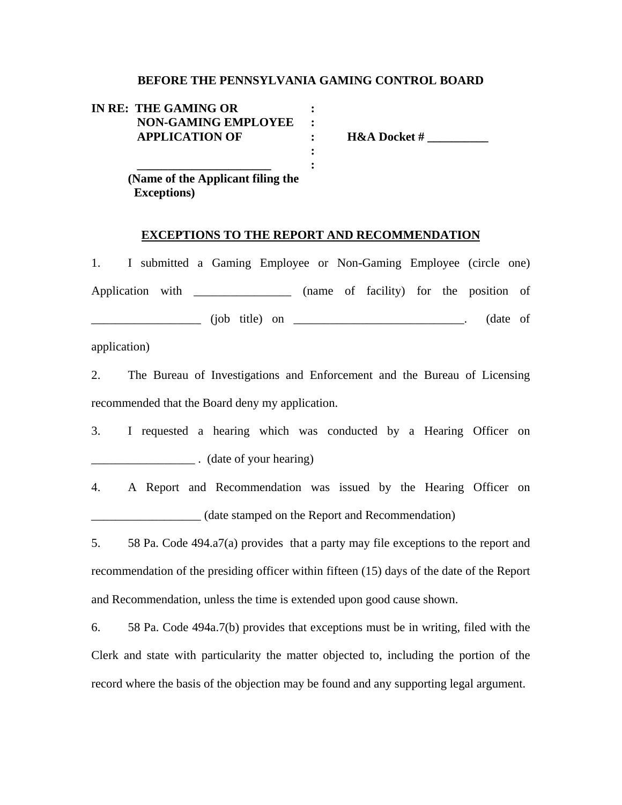## **BEFORE THE PENNSYLVANIA GAMING CONTROL BOARD**

| IN RE: THE GAMING OR       |                         |
|----------------------------|-------------------------|
| <b>NON-GAMING EMPLOYEE</b> |                         |
| <b>APPLICATION OF</b>      | <b>H&amp;A Docket #</b> |
|                            |                         |
|                            |                         |

 **(Name of the Applicant filing the Exceptions)** 

## **EXCEPTIONS TO THE REPORT AND RECOMMENDATION**

1. I submitted a Gaming Employee or Non-Gaming Employee (circle one) Application with \_\_\_\_\_\_\_\_\_\_\_\_\_\_\_\_ (name of facility) for the position of \_\_\_\_\_\_\_\_\_\_\_\_\_\_\_\_\_\_ (job title) on \_\_\_\_\_\_\_\_\_\_\_\_\_\_\_\_\_\_\_\_\_\_\_\_\_\_\_\_. (date of

application)

2. The Bureau of Investigations and Enforcement and the Bureau of Licensing recommended that the Board deny my application.

- 3. I requested a hearing which was conducted by a Hearing Officer on \_\_\_\_\_\_\_\_\_\_\_\_\_\_\_\_\_ . (date of your hearing)
- 4. A Report and Recommendation was issued by the Hearing Officer on \_\_\_\_\_\_\_\_\_\_\_\_\_\_\_\_\_\_ (date stamped on the Report and Recommendation)

5. 58 Pa. Code 494.a7(a) provides that a party may file exceptions to the report and recommendation of the presiding officer within fifteen (15) days of the date of the Report and Recommendation, unless the time is extended upon good cause shown.

6. 58 Pa. Code 494a.7(b) provides that exceptions must be in writing, filed with the Clerk and state with particularity the matter objected to, including the portion of the record where the basis of the objection may be found and any supporting legal argument.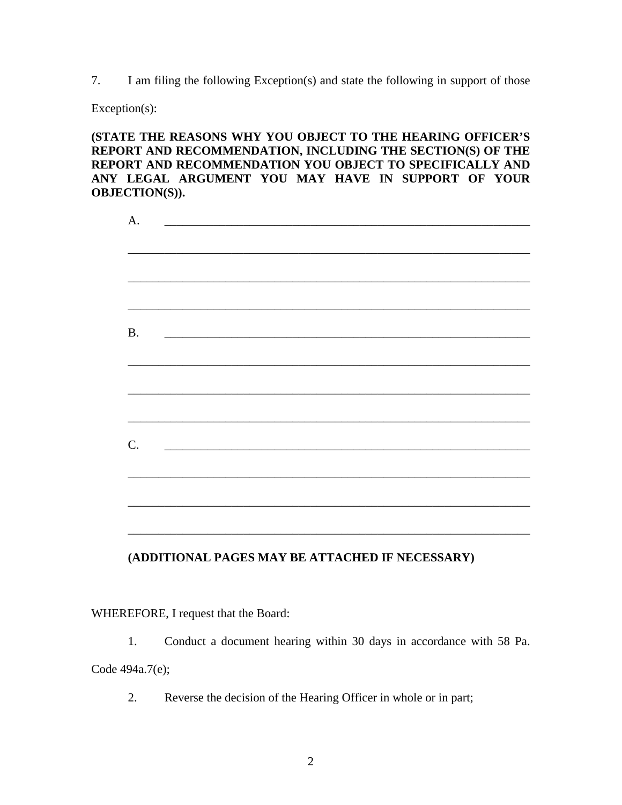7. I am filing the following Exception(s) and state the following in support of those

Exception(s):

**(STATE THE REASONS WHY YOU OBJECT TO THE HEARING OFFICER'S REPORT AND RECOMMENDATION, INCLUDING THE SECTION(S) OF THE REPORT AND RECOMMENDATION YOU OBJECT TO SPECIFICALLY AND ANY LEGAL ARGUMENT YOU MAY HAVE IN SUPPORT OF YOUR OBJECTION(S)).** 

| A.        | <u> 2000 - Jan Barnett, fransk politik (d. 1888)</u>                                                                 |  |  |
|-----------|----------------------------------------------------------------------------------------------------------------------|--|--|
|           |                                                                                                                      |  |  |
|           |                                                                                                                      |  |  |
|           |                                                                                                                      |  |  |
|           |                                                                                                                      |  |  |
| <b>B.</b> | <u> 1989 - Johann John Stone, markin film yn y brenin y brenin y brenin y brenin y brenin y brenin y brenin y br</u> |  |  |
|           |                                                                                                                      |  |  |
|           |                                                                                                                      |  |  |
|           |                                                                                                                      |  |  |
|           |                                                                                                                      |  |  |
|           |                                                                                                                      |  |  |
| C.        |                                                                                                                      |  |  |
|           |                                                                                                                      |  |  |
|           |                                                                                                                      |  |  |
|           |                                                                                                                      |  |  |
|           |                                                                                                                      |  |  |

## **(ADDITIONAL PAGES MAY BE ATTACHED IF NECESSARY)**

WHEREFORE, I request that the Board:

 1. Conduct a document hearing within 30 days in accordance with 58 Pa. Code 494a.7(e);

2. Reverse the decision of the Hearing Officer in whole or in part;